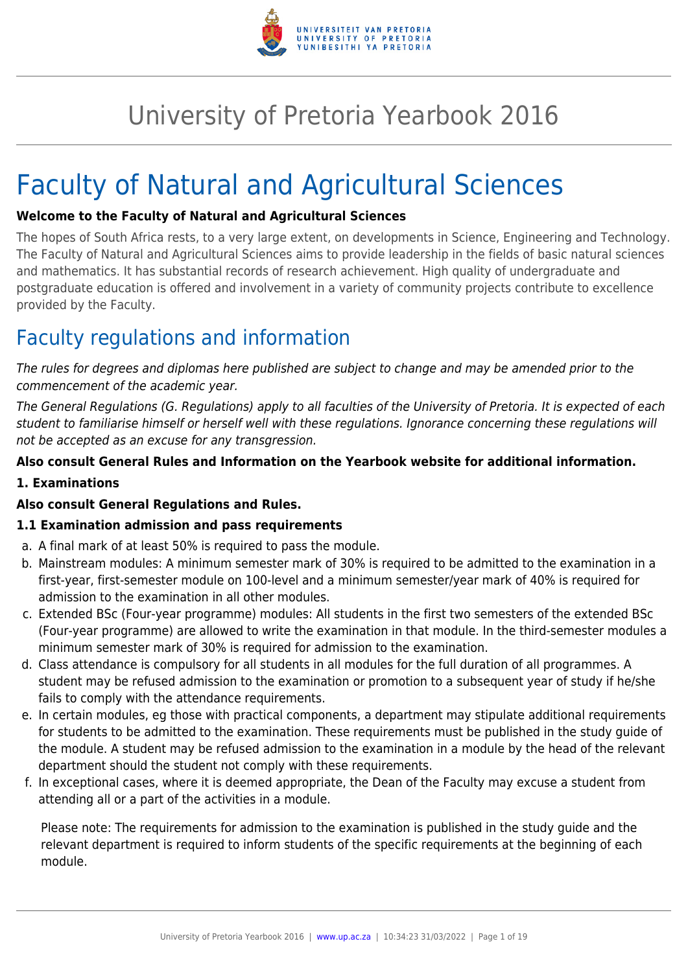

# University of Pretoria Yearbook 2016

# Faculty of Natural and Agricultural Sciences

#### **Welcome to the Faculty of Natural and Agricultural Sciences**

The hopes of South Africa rests, to a very large extent, on developments in Science, Engineering and Technology. The Faculty of Natural and Agricultural Sciences aims to provide leadership in the fields of basic natural sciences and mathematics. It has substantial records of research achievement. High quality of undergraduate and postgraduate education is offered and involvement in a variety of community projects contribute to excellence provided by the Faculty.

# Faculty regulations and information

The rules for degrees and diplomas here published are subject to change and may be amended prior to the commencement of the academic year.

The General Regulations (G. Regulations) apply to all faculties of the University of Pretoria. It is expected of each student to familiarise himself or herself well with these regulations. Ignorance concerning these regulations will not be accepted as an excuse for any transgression.

#### **Also consult General Rules and Information on the Yearbook website for additional information.**

#### **1. Examinations**

#### **Also consult General Regulations and Rules.**

#### **1.1 Examination admission and pass requirements**

- a. A final mark of at least 50% is required to pass the module.
- b. Mainstream modules: A minimum semester mark of 30% is required to be admitted to the examination in a first-year, first-semester module on 100-level and a minimum semester/year mark of 40% is required for admission to the examination in all other modules.
- c. Extended BSc (Four-year programme) modules: All students in the first two semesters of the extended BSc (Four-year programme) are allowed to write the examination in that module. In the third-semester modules a minimum semester mark of 30% is required for admission to the examination.
- d. Class attendance is compulsory for all students in all modules for the full duration of all programmes. A student may be refused admission to the examination or promotion to a subsequent year of study if he/she fails to comply with the attendance requirements.
- e. In certain modules, eg those with practical components, a department may stipulate additional requirements for students to be admitted to the examination. These requirements must be published in the study guide of the module. A student may be refused admission to the examination in a module by the head of the relevant department should the student not comply with these requirements.
- f. In exceptional cases, where it is deemed appropriate, the Dean of the Faculty may excuse a student from attending all or a part of the activities in a module.

Please note: The requirements for admission to the examination is published in the study guide and the relevant department is required to inform students of the specific requirements at the beginning of each module.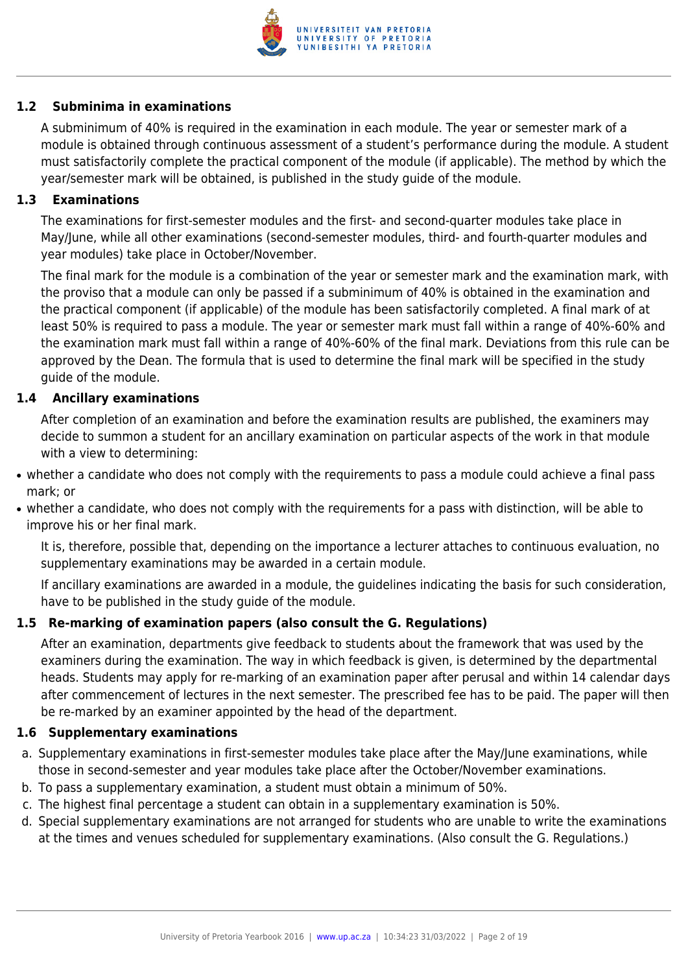

#### **1.2 Subminima in examinations**

A subminimum of 40% is required in the examination in each module. The year or semester mark of a module is obtained through continuous assessment of a student's performance during the module. A student must satisfactorily complete the practical component of the module (if applicable). The method by which the year/semester mark will be obtained, is published in the study guide of the module.

#### **1.3 Examinations**

The examinations for first-semester modules and the first- and second-quarter modules take place in May/June, while all other examinations (second-semester modules, third- and fourth-quarter modules and year modules) take place in October/November.

The final mark for the module is a combination of the year or semester mark and the examination mark, with the proviso that a module can only be passed if a subminimum of 40% is obtained in the examination and the practical component (if applicable) of the module has been satisfactorily completed. A final mark of at least 50% is required to pass a module. The year or semester mark must fall within a range of 40%-60% and the examination mark must fall within a range of 40%-60% of the final mark. Deviations from this rule can be approved by the Dean. The formula that is used to determine the final mark will be specified in the study guide of the module.

#### **1.4 Ancillary examinations**

After completion of an examination and before the examination results are published, the examiners may decide to summon a student for an ancillary examination on particular aspects of the work in that module with a view to determining:

- whether a candidate who does not comply with the requirements to pass a module could achieve a final pass mark; or
- whether a candidate, who does not comply with the requirements for a pass with distinction, will be able to improve his or her final mark.

It is, therefore, possible that, depending on the importance a lecturer attaches to continuous evaluation, no supplementary examinations may be awarded in a certain module.

If ancillary examinations are awarded in a module, the guidelines indicating the basis for such consideration, have to be published in the study guide of the module.

#### **1.5 Re-marking of examination papers (also consult the G. Regulations)**

After an examination, departments give feedback to students about the framework that was used by the examiners during the examination. The way in which feedback is given, is determined by the departmental heads. Students may apply for re-marking of an examination paper after perusal and within 14 calendar days after commencement of lectures in the next semester. The prescribed fee has to be paid. The paper will then be re-marked by an examiner appointed by the head of the department.

#### **1.6 Supplementary examinations**

- a. Supplementary examinations in first-semester modules take place after the May/June examinations, while those in second-semester and year modules take place after the October/November examinations.
- b. To pass a supplementary examination, a student must obtain a minimum of 50%.
- c. The highest final percentage a student can obtain in a supplementary examination is 50%.
- d. Special supplementary examinations are not arranged for students who are unable to write the examinations at the times and venues scheduled for supplementary examinations. (Also consult the G. Regulations.)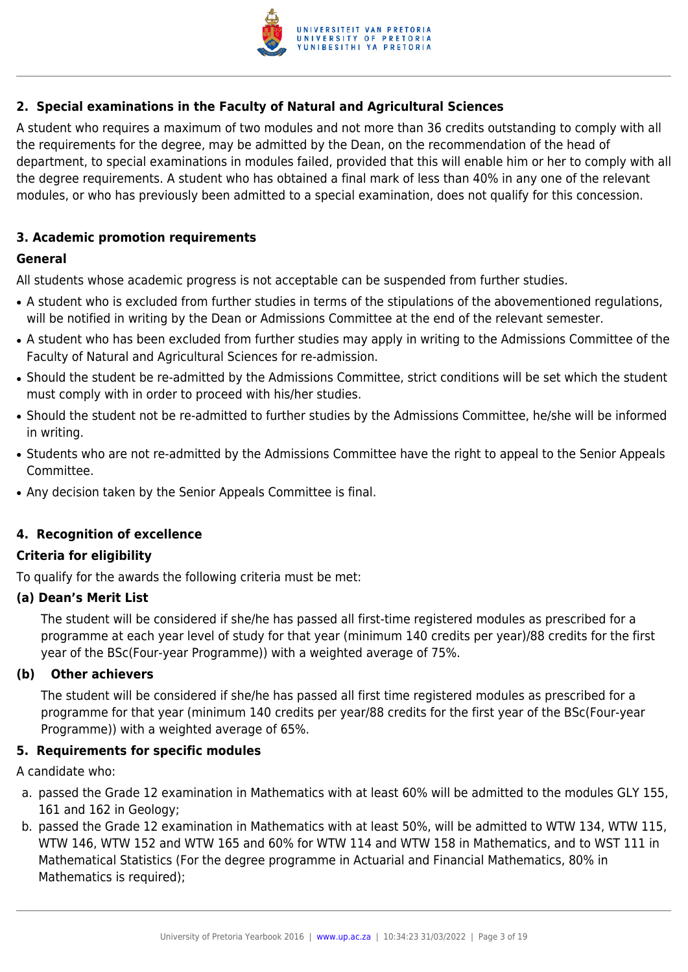

## **2. Special examinations in the Faculty of Natural and Agricultural Sciences**

A student who requires a maximum of two modules and not more than 36 credits outstanding to comply with all the requirements for the degree, may be admitted by the Dean, on the recommendation of the head of department, to special examinations in modules failed, provided that this will enable him or her to comply with all the degree requirements. A student who has obtained a final mark of less than 40% in any one of the relevant modules, or who has previously been admitted to a special examination, does not qualify for this concession.

## **3. Academic promotion requirements**

### **General**

All students whose academic progress is not acceptable can be suspended from further studies.

- A student who is excluded from further studies in terms of the stipulations of the abovementioned regulations, will be notified in writing by the Dean or Admissions Committee at the end of the relevant semester.
- A student who has been excluded from further studies may apply in writing to the Admissions Committee of the Faculty of Natural and Agricultural Sciences for re-admission.
- Should the student be re-admitted by the Admissions Committee, strict conditions will be set which the student must comply with in order to proceed with his/her studies.
- Should the student not be re-admitted to further studies by the Admissions Committee, he/she will be informed in writing.
- Students who are not re-admitted by the Admissions Committee have the right to appeal to the Senior Appeals Committee.
- Any decision taken by the Senior Appeals Committee is final.

# **4. Recognition of excellence**

### **Criteria for eligibility**

To qualify for the awards the following criteria must be met:

### **(a) Dean's Merit List**

The student will be considered if she/he has passed all first-time registered modules as prescribed for a programme at each year level of study for that year (minimum 140 credits per year)/88 credits for the first year of the BSc(Four-year Programme)) with a weighted average of 75%.

### **(b) Other achievers**

The student will be considered if she/he has passed all first time registered modules as prescribed for a programme for that year (minimum 140 credits per year/88 credits for the first year of the BSc(Four-year Programme)) with a weighted average of 65%.

# **5. Requirements for specific modules**

A candidate who:

- a. passed the Grade 12 examination in Mathematics with at least 60% will be admitted to the modules GLY 155, 161 and 162 in Geology;
- b. passed the Grade 12 examination in Mathematics with at least 50%, will be admitted to WTW 134, WTW 115, WTW 146, WTW 152 and WTW 165 and 60% for WTW 114 and WTW 158 in Mathematics, and to WST 111 in Mathematical Statistics (For the degree programme in Actuarial and Financial Mathematics, 80% in Mathematics is required);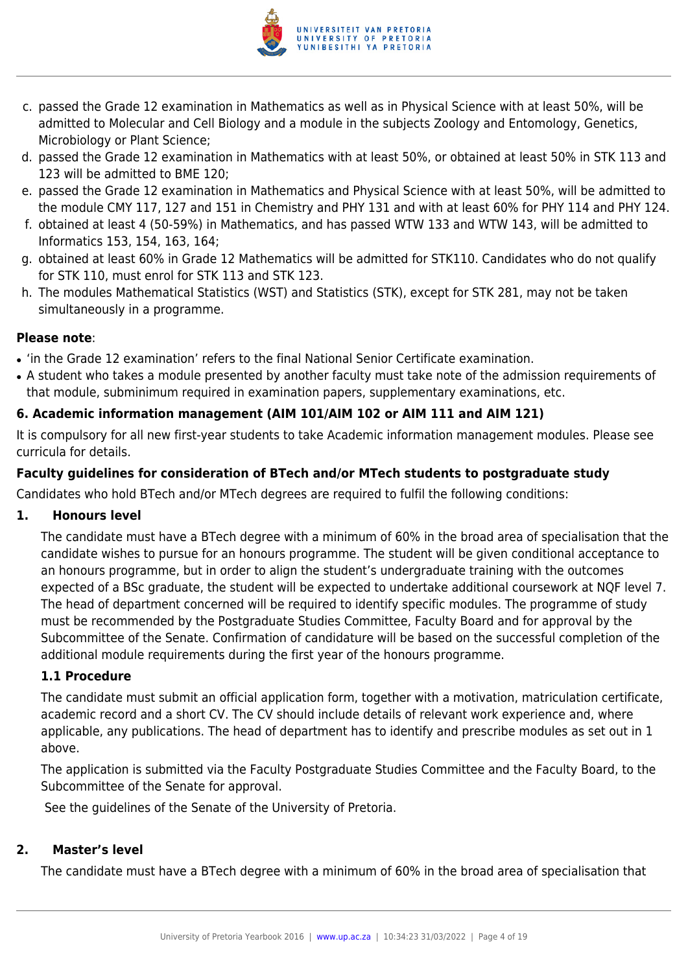

- c. passed the Grade 12 examination in Mathematics as well as in Physical Science with at least 50%, will be admitted to Molecular and Cell Biology and a module in the subjects Zoology and Entomology, Genetics, Microbiology or Plant Science;
- d. passed the Grade 12 examination in Mathematics with at least 50%, or obtained at least 50% in STK 113 and 123 will be admitted to BME 120;
- e. passed the Grade 12 examination in Mathematics and Physical Science with at least 50%, will be admitted to the module CMY 117, 127 and 151 in Chemistry and PHY 131 and with at least 60% for PHY 114 and PHY 124.
- f. obtained at least 4 (50-59%) in Mathematics, and has passed WTW 133 and WTW 143, will be admitted to Informatics 153, 154, 163, 164;
- g. obtained at least 60% in Grade 12 Mathematics will be admitted for STK110. Candidates who do not qualify for STK 110, must enrol for STK 113 and STK 123.
- h. The modules Mathematical Statistics (WST) and Statistics (STK), except for STK 281, may not be taken simultaneously in a programme.

#### **Please note**:

- 'in the Grade 12 examination' refers to the final National Senior Certificate examination.
- A student who takes a module presented by another faculty must take note of the admission requirements of that module, subminimum required in examination papers, supplementary examinations, etc.

#### **6. Academic information management (AIM 101/AIM 102 or AIM 111 and AIM 121)**

It is compulsory for all new first-year students to take Academic information management modules. Please see curricula for details.

#### **Faculty guidelines for consideration of BTech and/or MTech students to postgraduate study**

Candidates who hold BTech and/or MTech degrees are required to fulfil the following conditions:

#### **1. Honours level**

The candidate must have a BTech degree with a minimum of 60% in the broad area of specialisation that the candidate wishes to pursue for an honours programme. The student will be given conditional acceptance to an honours programme, but in order to align the student's undergraduate training with the outcomes expected of a BSc graduate, the student will be expected to undertake additional coursework at NQF level 7. The head of department concerned will be required to identify specific modules. The programme of study must be recommended by the Postgraduate Studies Committee, Faculty Board and for approval by the Subcommittee of the Senate. Confirmation of candidature will be based on the successful completion of the additional module requirements during the first year of the honours programme.

#### **1.1 Procedure**

The candidate must submit an official application form, together with a motivation, matriculation certificate, academic record and a short CV. The CV should include details of relevant work experience and, where applicable, any publications. The head of department has to identify and prescribe modules as set out in 1 above.

The application is submitted via the Faculty Postgraduate Studies Committee and the Faculty Board, to the Subcommittee of the Senate for approval.

See the guidelines of the Senate of the University of Pretoria.

#### **2. Master's level**

The candidate must have a BTech degree with a minimum of 60% in the broad area of specialisation that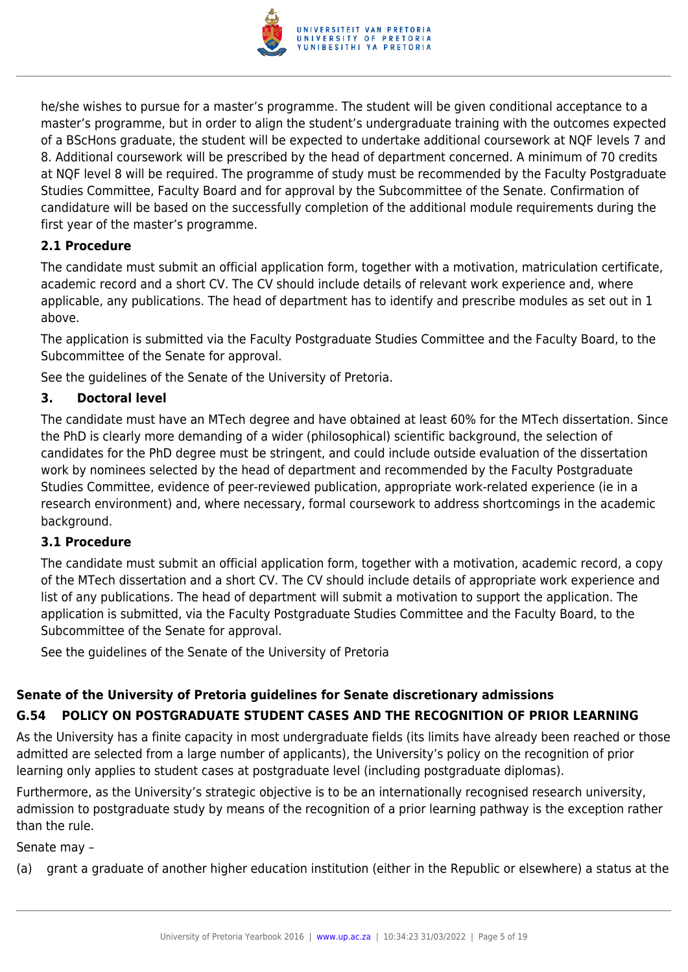

he/she wishes to pursue for a master's programme. The student will be given conditional acceptance to a master's programme, but in order to align the student's undergraduate training with the outcomes expected of a BScHons graduate, the student will be expected to undertake additional coursework at NQF levels 7 and 8. Additional coursework will be prescribed by the head of department concerned. A minimum of 70 credits at NQF level 8 will be required. The programme of study must be recommended by the Faculty Postgraduate Studies Committee, Faculty Board and for approval by the Subcommittee of the Senate. Confirmation of candidature will be based on the successfully completion of the additional module requirements during the first year of the master's programme.

#### **2.1 Procedure**

The candidate must submit an official application form, together with a motivation, matriculation certificate, academic record and a short CV. The CV should include details of relevant work experience and, where applicable, any publications. The head of department has to identify and prescribe modules as set out in 1 above.

The application is submitted via the Faculty Postgraduate Studies Committee and the Faculty Board, to the Subcommittee of the Senate for approval.

See the guidelines of the Senate of the University of Pretoria.

#### **3. Doctoral level**

The candidate must have an MTech degree and have obtained at least 60% for the MTech dissertation. Since the PhD is clearly more demanding of a wider (philosophical) scientific background, the selection of candidates for the PhD degree must be stringent, and could include outside evaluation of the dissertation work by nominees selected by the head of department and recommended by the Faculty Postgraduate Studies Committee, evidence of peer-reviewed publication, appropriate work-related experience (ie in a research environment) and, where necessary, formal coursework to address shortcomings in the academic background.

#### **3.1 Procedure**

The candidate must submit an official application form, together with a motivation, academic record, a copy of the MTech dissertation and a short CV. The CV should include details of appropriate work experience and list of any publications. The head of department will submit a motivation to support the application. The application is submitted, via the Faculty Postgraduate Studies Committee and the Faculty Board, to the Subcommittee of the Senate for approval.

See the guidelines of the Senate of the University of Pretoria

# **Senate of the University of Pretoria guidelines for Senate discretionary admissions G.54 POLICY ON POSTGRADUATE STUDENT CASES AND THE RECOGNITION OF PRIOR LEARNING**

As the University has a finite capacity in most undergraduate fields (its limits have already been reached or those admitted are selected from a large number of applicants), the University's policy on the recognition of prior learning only applies to student cases at postgraduate level (including postgraduate diplomas).

Furthermore, as the University's strategic objective is to be an internationally recognised research university, admission to postgraduate study by means of the recognition of a prior learning pathway is the exception rather than the rule.

Senate may –

(a) grant a graduate of another higher education institution (either in the Republic or elsewhere) a status at the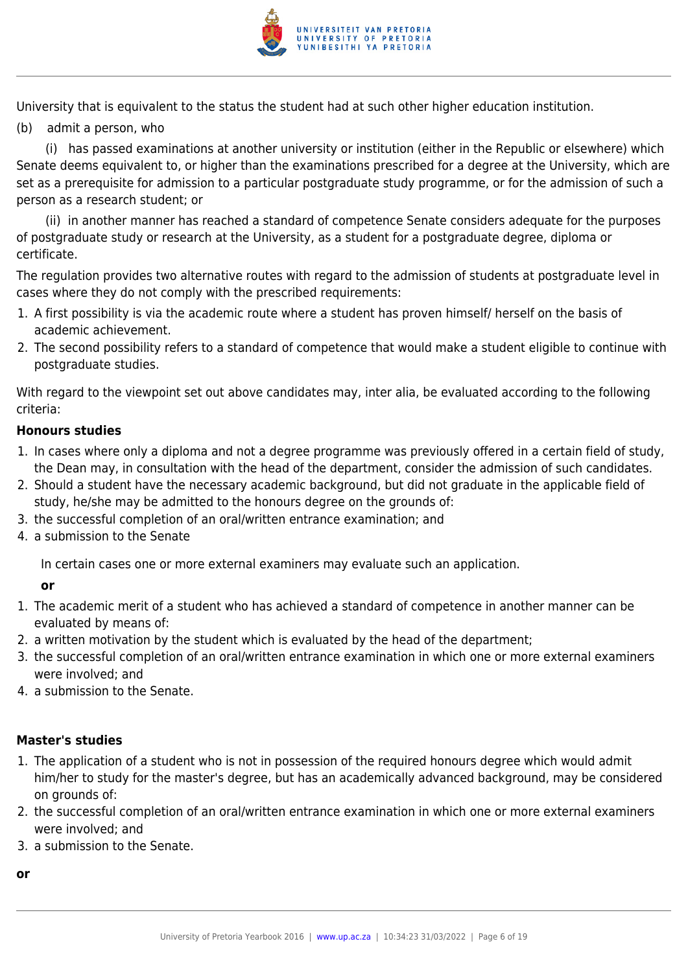

University that is equivalent to the status the student had at such other higher education institution.

(b) admit a person, who

 (i) has passed examinations at another university or institution (either in the Republic or elsewhere) which Senate deems equivalent to, or higher than the examinations prescribed for a degree at the University, which are set as a prerequisite for admission to a particular postgraduate study programme, or for the admission of such a person as a research student; or

 (ii) in another manner has reached a standard of competence Senate considers adequate for the purposes of postgraduate study or research at the University, as a student for a postgraduate degree, diploma or certificate.

The regulation provides two alternative routes with regard to the admission of students at postgraduate level in cases where they do not comply with the prescribed requirements:

- 1. A first possibility is via the academic route where a student has proven himself/ herself on the basis of academic achievement.
- 2. The second possibility refers to a standard of competence that would make a student eligible to continue with postgraduate studies.

With regard to the viewpoint set out above candidates may, inter alia, be evaluated according to the following criteria:

#### **Honours studies**

- 1. In cases where only a diploma and not a degree programme was previously offered in a certain field of study, the Dean may, in consultation with the head of the department, consider the admission of such candidates.
- 2. Should a student have the necessary academic background, but did not graduate in the applicable field of study, he/she may be admitted to the honours degree on the grounds of:
- 3. the successful completion of an oral/written entrance examination; and
- 4. a submission to the Senate

In certain cases one or more external examiners may evaluate such an application.

**or**

- 1. The academic merit of a student who has achieved a standard of competence in another manner can be evaluated by means of:
- 2. a written motivation by the student which is evaluated by the head of the department;
- 3. the successful completion of an oral/written entrance examination in which one or more external examiners were involved; and
- 4. a submission to the Senate.

#### **Master's studies**

- 1. The application of a student who is not in possession of the required honours degree which would admit him/her to study for the master's degree, but has an academically advanced background, may be considered on grounds of:
- 2. the successful completion of an oral/written entrance examination in which one or more external examiners were involved; and
- 3. a submission to the Senate.

**or**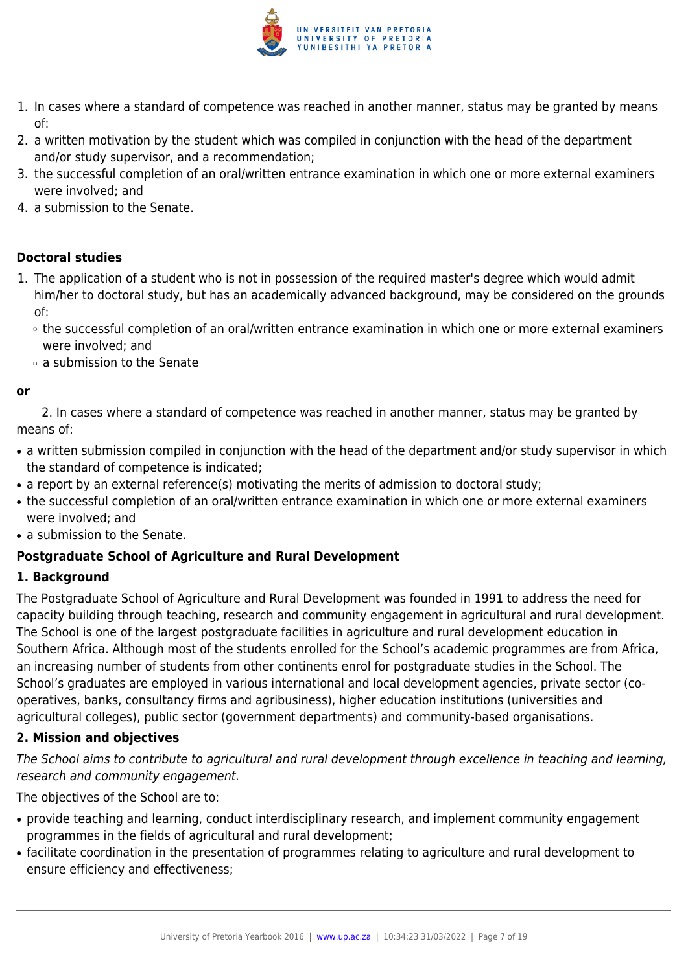

- 1. In cases where a standard of competence was reached in another manner, status may be granted by means of:
- 2. a written motivation by the student which was compiled in conjunction with the head of the department and/or study supervisor, and a recommendation;
- 3. the successful completion of an oral/written entrance examination in which one or more external examiners were involved; and
- 4. a submission to the Senate.

#### **Doctoral studies**

- 1. The application of a student who is not in possession of the required master's degree which would admit him/her to doctoral study, but has an academically advanced background, may be considered on the grounds of:
	- ❍ the successful completion of an oral/written entrance examination in which one or more external examiners were involved; and
	- ❍ a submission to the Senate

#### **or**

 2. In cases where a standard of competence was reached in another manner, status may be granted by means of:

- a written submission compiled in conjunction with the head of the department and/or study supervisor in which the standard of competence is indicated;
- a report by an external reference(s) motivating the merits of admission to doctoral study;
- the successful completion of an oral/written entrance examination in which one or more external examiners were involved; and
- a submission to the Senate.

#### **Postgraduate School of Agriculture and Rural Development**

#### **1. Background**

The Postgraduate School of Agriculture and Rural Development was founded in 1991 to address the need for capacity building through teaching, research and community engagement in agricultural and rural development. The School is one of the largest postgraduate facilities in agriculture and rural development education in Southern Africa. Although most of the students enrolled for the School's academic programmes are from Africa, an increasing number of students from other continents enrol for postgraduate studies in the School. The School's graduates are employed in various international and local development agencies, private sector (cooperatives, banks, consultancy firms and agribusiness), higher education institutions (universities and agricultural colleges), public sector (government departments) and community-based organisations.

#### **2. Mission and objectives**

The School aims to contribute to agricultural and rural development through excellence in teaching and learning, research and community engagement.

The objectives of the School are to:

- provide teaching and learning, conduct interdisciplinary research, and implement community engagement programmes in the fields of agricultural and rural development;
- facilitate coordination in the presentation of programmes relating to agriculture and rural development to ensure efficiency and effectiveness;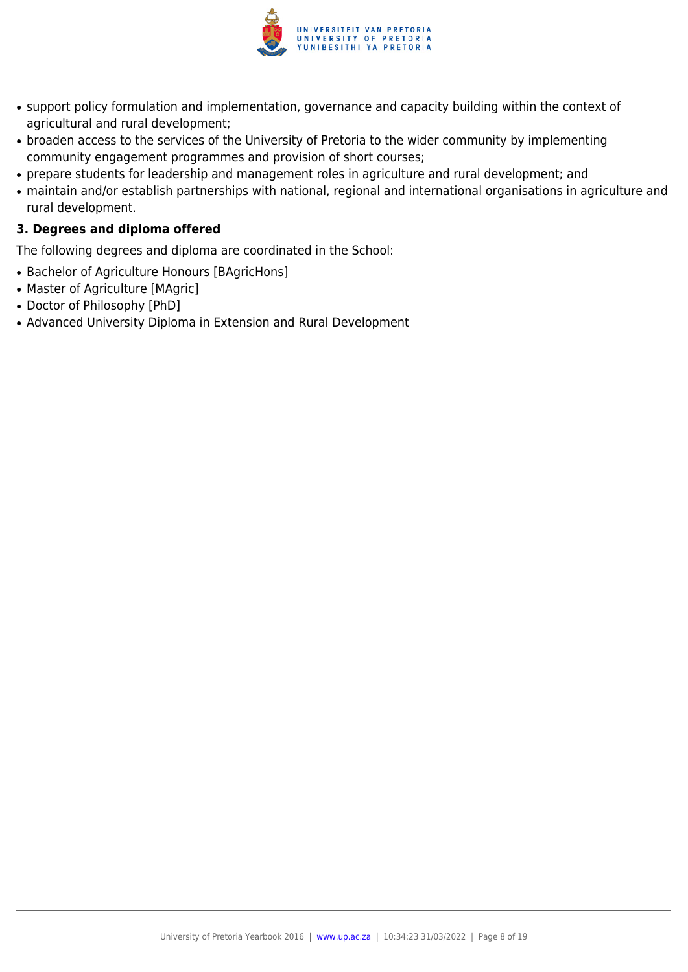

- support policy formulation and implementation, governance and capacity building within the context of agricultural and rural development;
- broaden access to the services of the University of Pretoria to the wider community by implementing community engagement programmes and provision of short courses;
- prepare students for leadership and management roles in agriculture and rural development; and
- maintain and/or establish partnerships with national, regional and international organisations in agriculture and rural development.

#### **3. Degrees and diploma offered**

The following degrees and diploma are coordinated in the School:

- Bachelor of Agriculture Honours [BAgricHons]
- Master of Agriculture [MAgric]
- Doctor of Philosophy [PhD]
- Advanced University Diploma in Extension and Rural Development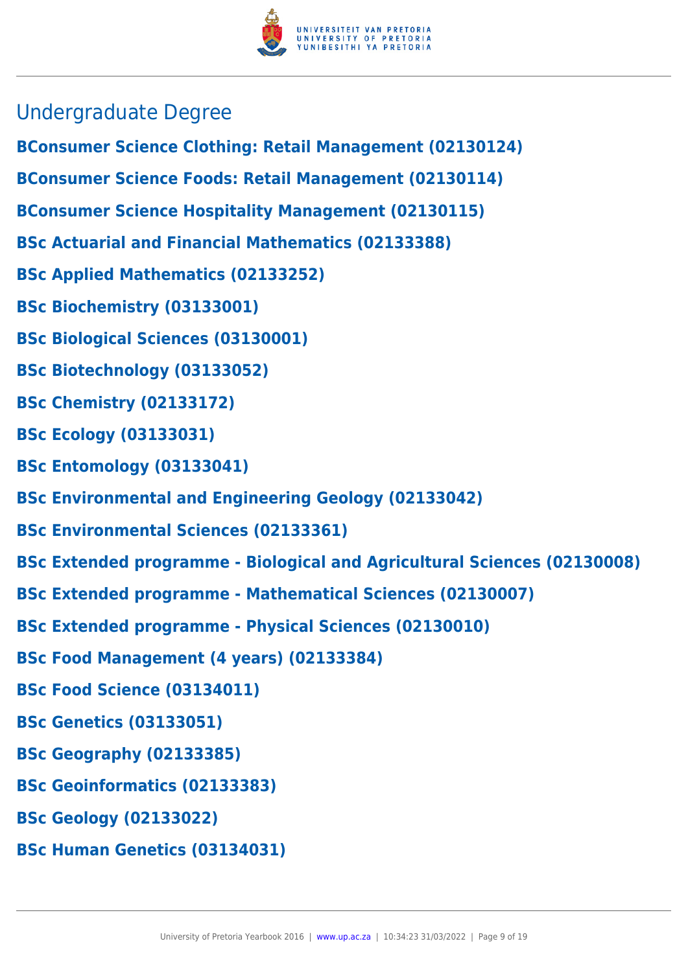

- Undergraduate Degree
- **BConsumer Science Clothing: Retail Management (02130124)**
- **BConsumer Science Foods: Retail Management (02130114)**
- **BConsumer Science Hospitality Management (02130115)**
- **BSc Actuarial and Financial Mathematics (02133388)**
- **BSc Applied Mathematics (02133252)**
- **BSc Biochemistry (03133001)**
- **BSc Biological Sciences (03130001)**
- **BSc Biotechnology (03133052)**
- **BSc Chemistry (02133172)**
- **BSc Ecology (03133031)**
- **BSc Entomology (03133041)**
- **BSc Environmental and Engineering Geology (02133042)**
- **BSc Environmental Sciences (02133361)**
- **BSc Extended programme Biological and Agricultural Sciences (02130008)**
- **BSc Extended programme Mathematical Sciences (02130007)**
- **BSc Extended programme Physical Sciences (02130010)**
- **BSc Food Management (4 years) (02133384)**
- **BSc Food Science (03134011)**
- **BSc Genetics (03133051)**
- **BSc Geography (02133385)**
- **BSc Geoinformatics (02133383)**
- **BSc Geology (02133022)**
- **BSc Human Genetics (03134031)**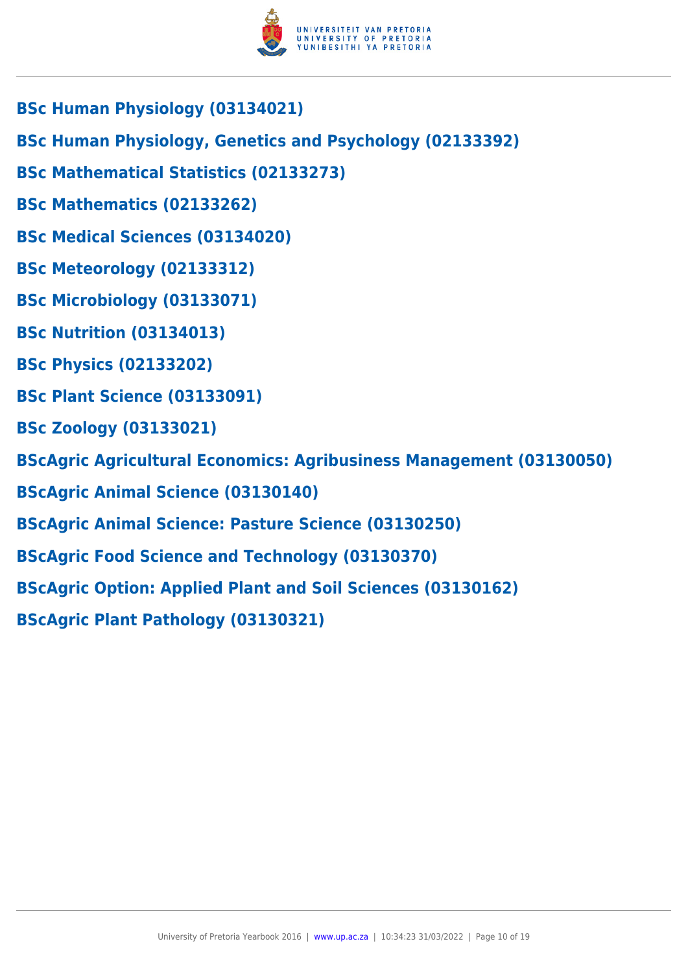

- **BSc Human Physiology (03134021)**
- **BSc Human Physiology, Genetics and Psychology (02133392)**
- **BSc Mathematical Statistics (02133273)**
- **BSc Mathematics (02133262)**
- **BSc Medical Sciences (03134020)**
- **BSc Meteorology (02133312)**
- **BSc Microbiology (03133071)**
- **BSc Nutrition (03134013)**
- **BSc Physics (02133202)**
- **BSc Plant Science (03133091)**
- **BSc Zoology (03133021)**
- **BScAgric Agricultural Economics: Agribusiness Management (03130050)**
- **BScAgric Animal Science (03130140)**
- **BScAgric Animal Science: Pasture Science (03130250)**
- **BScAgric Food Science and Technology (03130370)**
- **BScAgric Option: Applied Plant and Soil Sciences (03130162)**
- **BScAgric Plant Pathology (03130321)**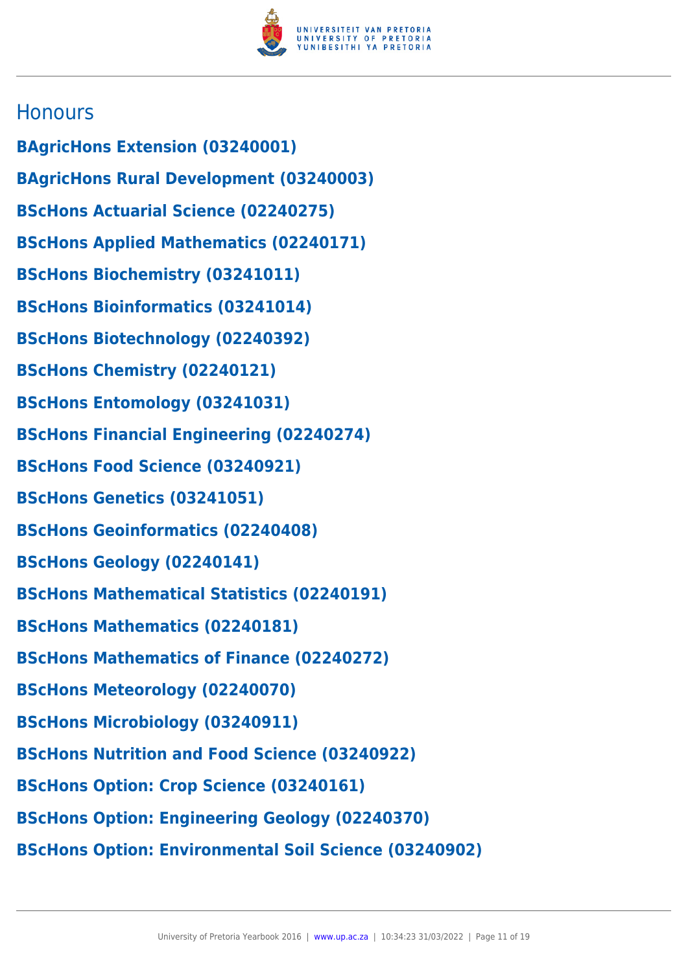

# **Honours**

- **BAgricHons Extension (03240001)**
- **BAgricHons Rural Development (03240003)**
- **BScHons Actuarial Science (02240275)**
- **BScHons Applied Mathematics (02240171)**
- **BScHons Biochemistry (03241011)**
- **BScHons Bioinformatics (03241014)**
- **BScHons Biotechnology (02240392)**
- **BScHons Chemistry (02240121)**
- **BScHons Entomology (03241031)**
- **BScHons Financial Engineering (02240274)**
- **BScHons Food Science (03240921)**
- **BScHons Genetics (03241051)**
- **BScHons Geoinformatics (02240408)**
- **BScHons Geology (02240141)**
- **BScHons Mathematical Statistics (02240191)**
- **BScHons Mathematics (02240181)**
- **BScHons Mathematics of Finance (02240272)**
- **BScHons Meteorology (02240070)**
- **BScHons Microbiology (03240911)**
- **BScHons Nutrition and Food Science (03240922)**
- **BScHons Option: Crop Science (03240161)**
- **BScHons Option: Engineering Geology (02240370)**
- **BScHons Option: Environmental Soil Science (03240902)**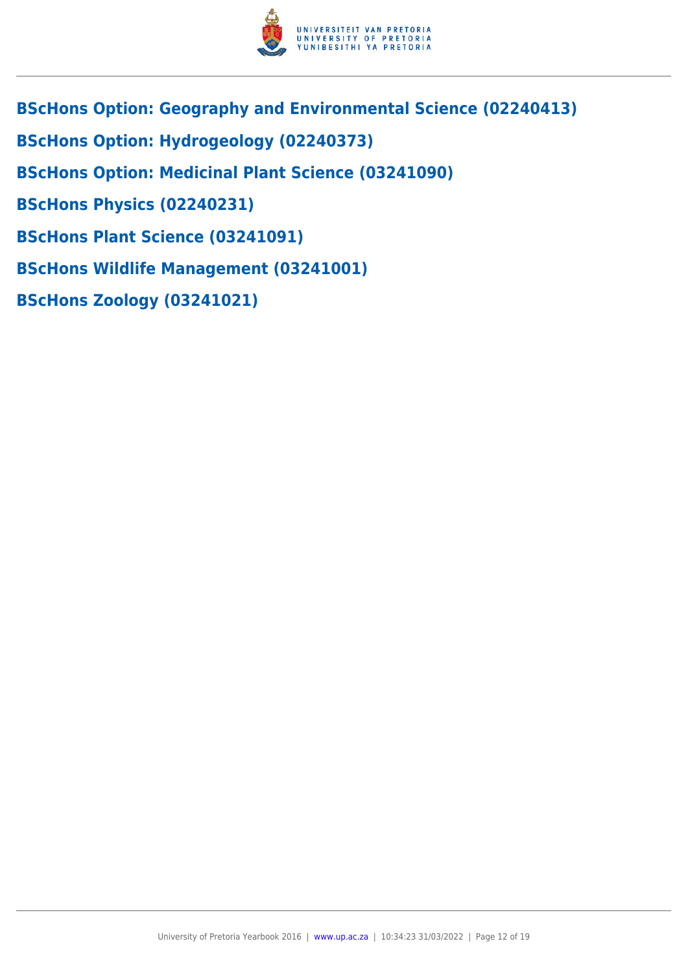

- **BScHons Option: Geography and Environmental Science (02240413)**
- **BScHons Option: Hydrogeology (02240373)**
- **BScHons Option: Medicinal Plant Science (03241090)**
- **BScHons Physics (02240231)**
- **BScHons Plant Science (03241091)**
- **BScHons Wildlife Management (03241001)**
- **BScHons Zoology (03241021)**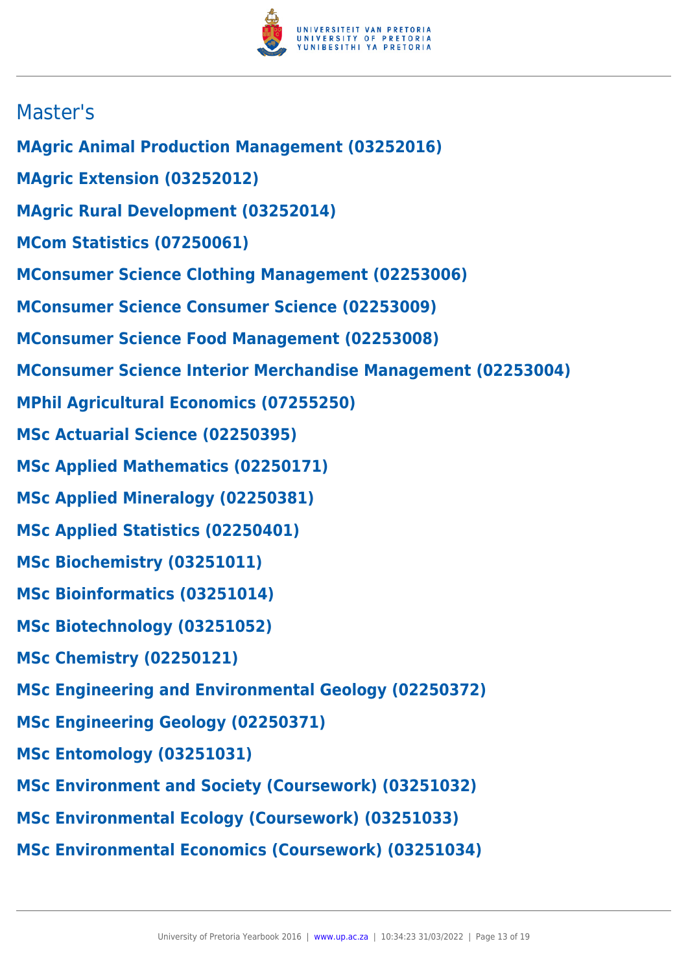

# Master's

- **MAgric Animal Production Management (03252016)**
- **MAgric Extension (03252012)**
- **MAgric Rural Development (03252014)**
- **MCom Statistics (07250061)**
- **MConsumer Science Clothing Management (02253006)**
- **MConsumer Science Consumer Science (02253009)**
- **MConsumer Science Food Management (02253008)**
- **MConsumer Science Interior Merchandise Management (02253004)**
- **MPhil Agricultural Economics (07255250)**
- **MSc Actuarial Science (02250395)**
- **MSc Applied Mathematics (02250171)**
- **MSc Applied Mineralogy (02250381)**
- **MSc Applied Statistics (02250401)**
- **MSc Biochemistry (03251011)**
- **MSc Bioinformatics (03251014)**
- **MSc Biotechnology (03251052)**
- **MSc Chemistry (02250121)**
- **MSc Engineering and Environmental Geology (02250372)**
- **MSc Engineering Geology (02250371)**
- **MSc Entomology (03251031)**
- **MSc Environment and Society (Coursework) (03251032)**
- **MSc Environmental Ecology (Coursework) (03251033)**
- **MSc Environmental Economics (Coursework) (03251034)**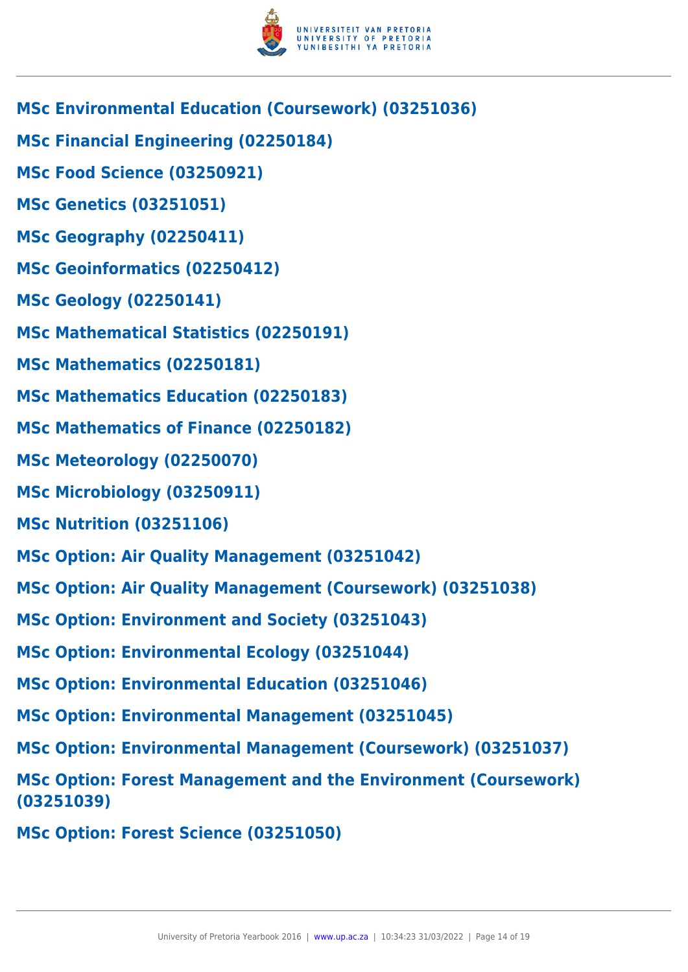

- **MSc Environmental Education (Coursework) (03251036)**
- **MSc Financial Engineering (02250184)**
- **MSc Food Science (03250921)**
- **MSc Genetics (03251051)**
- **MSc Geography (02250411)**
- **MSc Geoinformatics (02250412)**
- **MSc Geology (02250141)**
- **MSc Mathematical Statistics (02250191)**
- **MSc Mathematics (02250181)**
- **MSc Mathematics Education (02250183)**
- **MSc Mathematics of Finance (02250182)**
- **MSc Meteorology (02250070)**
- **MSc Microbiology (03250911)**
- **MSc Nutrition (03251106)**
- **MSc Option: Air Quality Management (03251042)**
- **MSc Option: Air Quality Management (Coursework) (03251038)**
- **MSc Option: Environment and Society (03251043)**
- **MSc Option: Environmental Ecology (03251044)**
- **MSc Option: Environmental Education (03251046)**
- **MSc Option: Environmental Management (03251045)**
- **MSc Option: Environmental Management (Coursework) (03251037)**
- **MSc Option: Forest Management and the Environment (Coursework) (03251039)**
- **MSc Option: Forest Science (03251050)**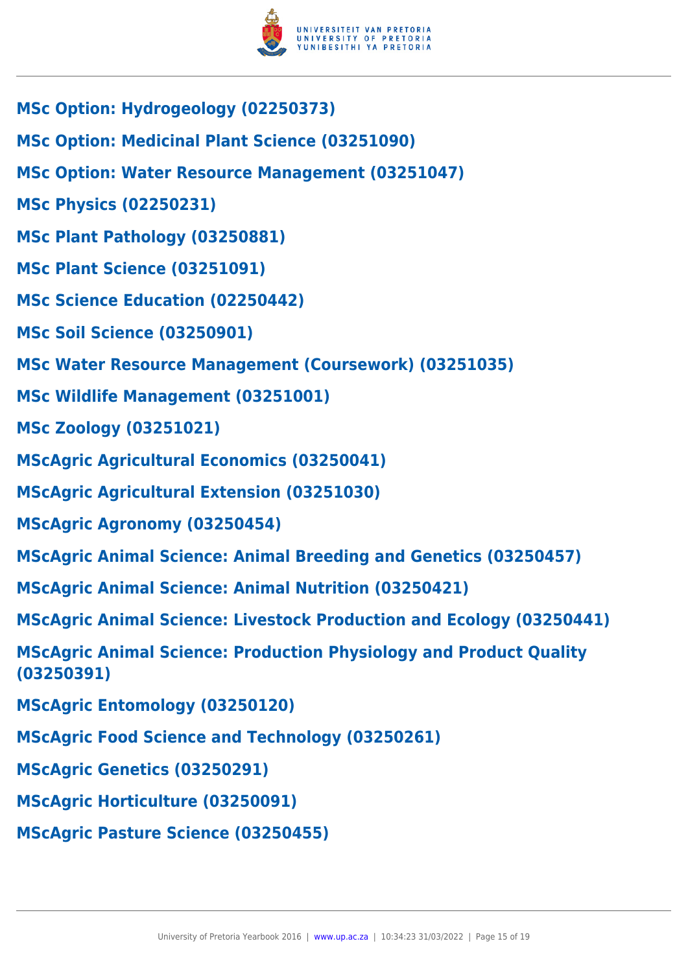

- **MSc Option: Hydrogeology (02250373)**
- **MSc Option: Medicinal Plant Science (03251090)**
- **MSc Option: Water Resource Management (03251047)**
- **MSc Physics (02250231)**
- **MSc Plant Pathology (03250881)**
- **MSc Plant Science (03251091)**
- **MSc Science Education (02250442)**
- **MSc Soil Science (03250901)**
- **MSc Water Resource Management (Coursework) (03251035)**
- **MSc Wildlife Management (03251001)**
- **MSc Zoology (03251021)**
- **MScAgric Agricultural Economics (03250041)**
- **MScAgric Agricultural Extension (03251030)**
- **MScAgric Agronomy (03250454)**
- **MScAgric Animal Science: Animal Breeding and Genetics (03250457)**
- **MScAgric Animal Science: Animal Nutrition (03250421)**
- **MScAgric Animal Science: Livestock Production and Ecology (03250441)**
- **MScAgric Animal Science: Production Physiology and Product Quality (03250391)**
- **MScAgric Entomology (03250120)**
- **MScAgric Food Science and Technology (03250261)**
- **MScAgric Genetics (03250291)**
- **MScAgric Horticulture (03250091)**
- **MScAgric Pasture Science (03250455)**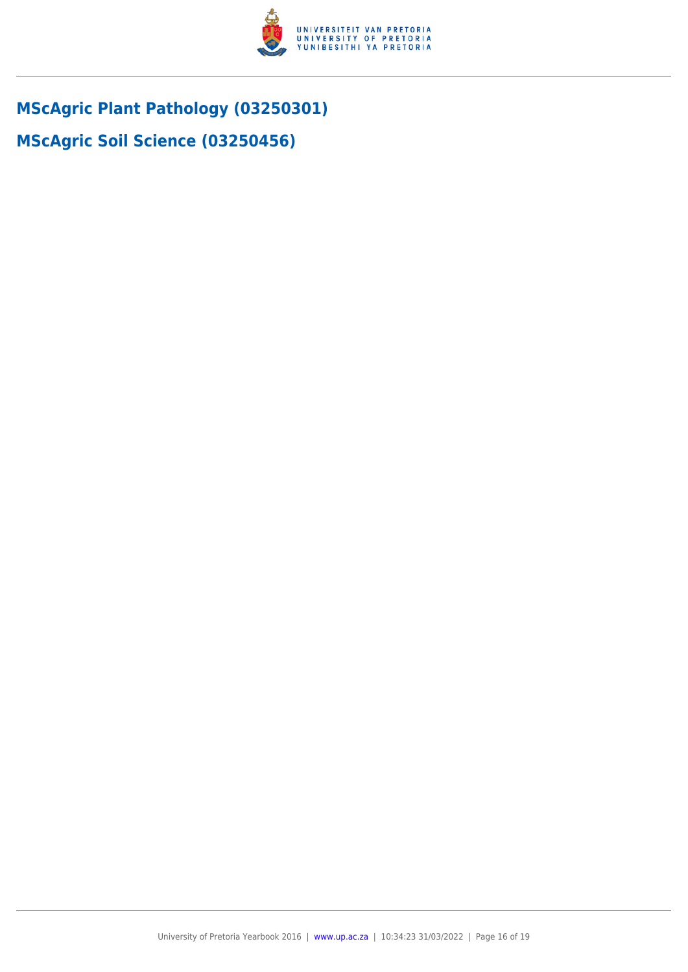

**MScAgric Plant Pathology (03250301)**

**MScAgric Soil Science (03250456)**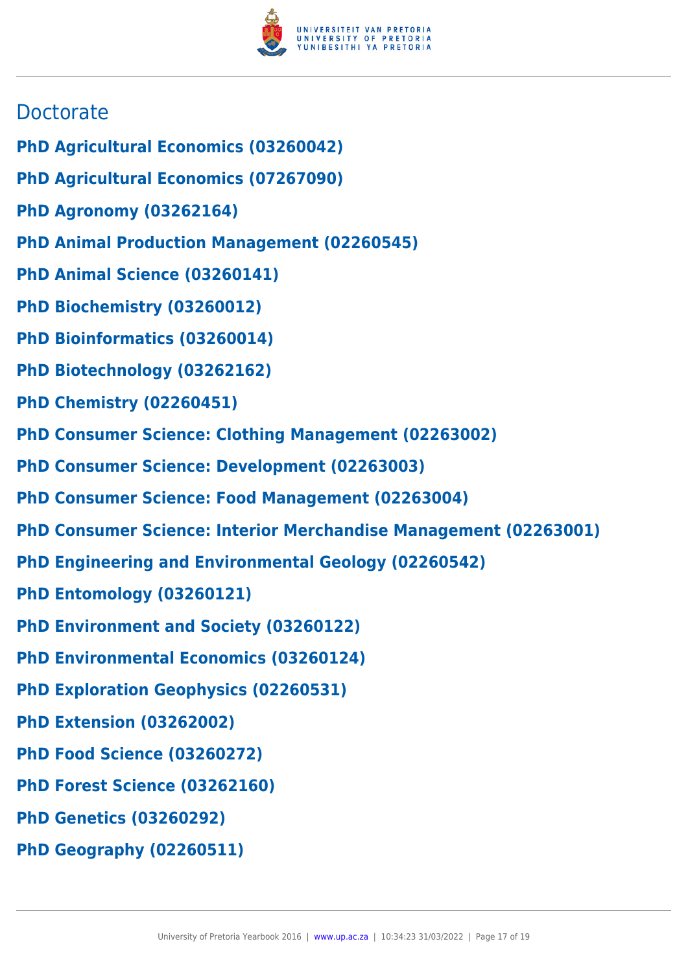

# **Doctorate**

- **PhD Agricultural Economics (03260042)**
- **PhD Agricultural Economics (07267090)**
- **PhD Agronomy (03262164)**
- **PhD Animal Production Management (02260545)**
- **PhD Animal Science (03260141)**
- **PhD Biochemistry (03260012)**
- **PhD Bioinformatics (03260014)**
- **PhD Biotechnology (03262162)**
- **PhD Chemistry (02260451)**
- **PhD Consumer Science: Clothing Management (02263002)**
- **PhD Consumer Science: Development (02263003)**
- **PhD Consumer Science: Food Management (02263004)**
- **PhD Consumer Science: Interior Merchandise Management (02263001)**
- **PhD Engineering and Environmental Geology (02260542)**
- **PhD Entomology (03260121)**
- **PhD Environment and Society (03260122)**
- **PhD Environmental Economics (03260124)**
- **PhD Exploration Geophysics (02260531)**
- **PhD Extension (03262002)**
- **PhD Food Science (03260272)**
- **PhD Forest Science (03262160)**
- **PhD Genetics (03260292)**
- **PhD Geography (02260511)**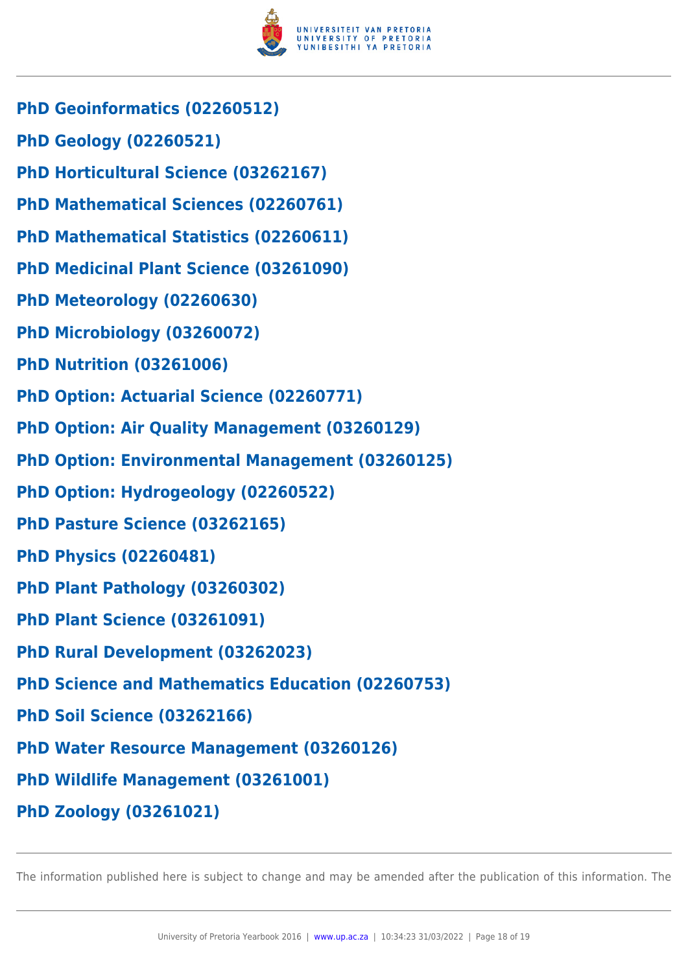

- **PhD Geoinformatics (02260512)**
- **PhD Geology (02260521)**
- **PhD Horticultural Science (03262167)**
- **PhD Mathematical Sciences (02260761)**
- **PhD Mathematical Statistics (02260611)**
- **PhD Medicinal Plant Science (03261090)**
- **PhD Meteorology (02260630)**
- **PhD Microbiology (03260072)**
- **PhD Nutrition (03261006)**
- **PhD Option: Actuarial Science (02260771)**
- **PhD Option: Air Quality Management (03260129)**
- **PhD Option: Environmental Management (03260125)**
- **PhD Option: Hydrogeology (02260522)**
- **PhD Pasture Science (03262165)**
- **PhD Physics (02260481)**
- **PhD Plant Pathology (03260302)**
- **PhD Plant Science (03261091)**
- **PhD Rural Development (03262023)**
- **PhD Science and Mathematics Education (02260753)**
- **PhD Soil Science (03262166)**
- **PhD Water Resource Management (03260126)**
- **PhD Wildlife Management (03261001)**
- **PhD Zoology (03261021)**

The information published here is subject to change and may be amended after the publication of this information. The